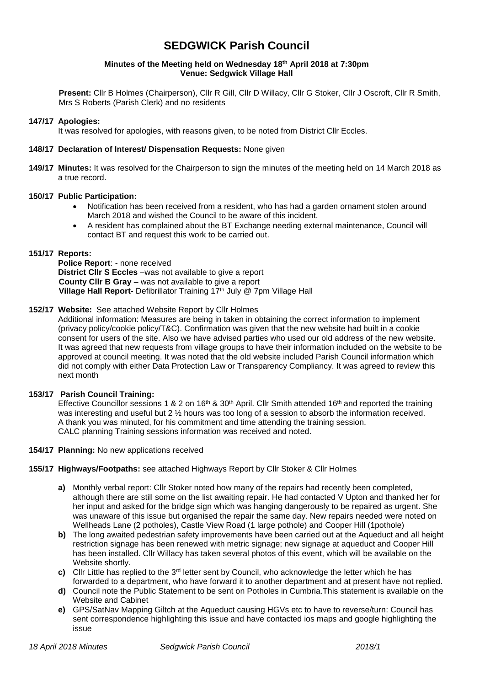# **SEDGWICK Parish Council**

#### **Minutes of the Meeting held on Wednesday 18 th April 2018 at 7:30pm Venue: Sedgwick Village Hall**

**Present:** Cllr B Holmes (Chairperson), Cllr R Gill, Cllr D Willacy, Cllr G Stoker, Cllr J Oscroft, Cllr R Smith, Mrs S Roberts (Parish Clerk) and no residents

#### **147/17 Apologies:**

It was resolved for apologies, with reasons given, to be noted from District Cllr Eccles.

#### **148/17 Declaration of Interest/ Dispensation Requests:** None given

**149/17 Minutes:** It was resolved for the Chairperson to sign the minutes of the meeting held on 14 March 2018 as a true record.

#### **150/17 Public Participation:**

- Notification has been received from a resident, who has had a garden ornament stolen around March 2018 and wished the Council to be aware of this incident.
- A resident has complained about the BT Exchange needing external maintenance, Council will contact BT and request this work to be carried out.

#### **151/17 Reports:**

**Police Report**: - none received **District Cllr S Eccles** –was not available to give a report **County Cllr B Gray** – was not available to give a report **Village Hall Report-** Defibrillator Training 17<sup>th</sup> July @ 7pm Village Hall

# **152/17 Website:** See attached Website Report by Cllr Holmes

Additional information: Measures are being in taken in obtaining the correct information to implement (privacy policy/cookie policy/T&C). Confirmation was given that the new website had built in a cookie consent for users of the site. Also we have advised parties who used our old address of the new website. It was agreed that new requests from village groups to have their information included on the website to be approved at council meeting. It was noted that the old website included Parish Council information which did not comply with either Data Protection Law or Transparency Compliancy. It was agreed to review this next month

# **153/17 Parish Council Training:**

Effective Councillor sessions 1 & 2 on 16<sup>th</sup> & 30<sup>th</sup> April. Cllr Smith attended 16<sup>th</sup> and reported the training was interesting and useful but 2 ½ hours was too long of a session to absorb the information received. A thank you was minuted, for his commitment and time attending the training session. CALC planning Training sessions information was received and noted.

#### **154/17 Planning:** No new applications received

# **155/17 Highways/Footpaths:** see attached Highways Report by Cllr Stoker & Cllr Holmes

- **a)** Monthly verbal report: Cllr Stoker noted how many of the repairs had recently been completed, although there are still some on the list awaiting repair. He had contacted V Upton and thanked her for her input and asked for the bridge sign which was hanging dangerously to be repaired as urgent. She was unaware of this issue but organised the repair the same day. New repairs needed were noted on Wellheads Lane (2 potholes), Castle View Road (1 large pothole) and Cooper Hill (1pothole)
- **b)** The long awaited pedestrian safety improvements have been carried out at the Aqueduct and all height restriction signage has been renewed with metric signage; new signage at aqueduct and Cooper Hill has been installed. Cllr Willacy has taken several photos of this event, which will be available on the Website shortly.
- **c)** Cllr Little has replied to the 3rd letter sent by Council, who acknowledge the letter which he has forwarded to a department, who have forward it to another department and at present have not replied.
- **d)** Council note the Public Statement to be sent on Potholes in Cumbria.This statement is available on the Website and Cabinet
- **e)** GPS/SatNav Mapping Giltch at the Aqueduct causing HGVs etc to have to reverse/turn: Council has sent correspondence highlighting this issue and have contacted ios maps and google highlighting the issue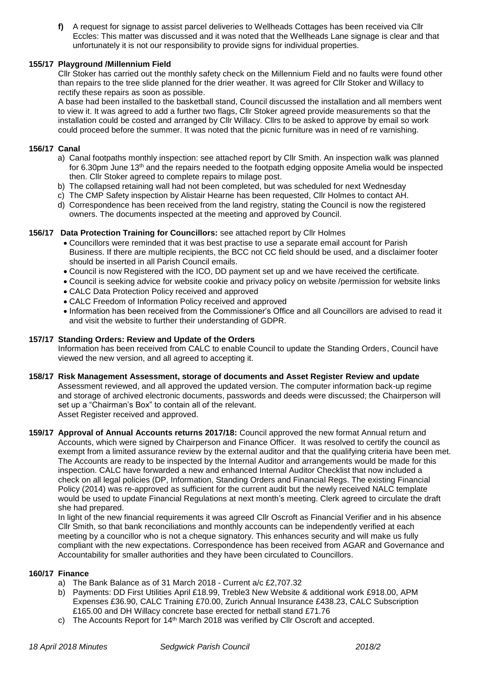**f)** A request for signage to assist parcel deliveries to Wellheads Cottages has been received via Cllr Eccles: This matter was discussed and it was noted that the Wellheads Lane signage is clear and that unfortunately it is not our responsibility to provide signs for individual properties.

## **155/17 Playground /Millennium Field**

Cllr Stoker has carried out the monthly safety check on the Millennium Field and no faults were found other than repairs to the tree slide planned for the drier weather. It was agreed for Cllr Stoker and Willacy to rectify these repairs as soon as possible.

A base had been installed to the basketball stand, Council discussed the installation and all members went to view it. It was agreed to add a further two flags, Cllr Stoker agreed provide measurements so that the installation could be costed and arranged by Cllr Willacy. Cllrs to be asked to approve by email so work could proceed before the summer. It was noted that the picnic furniture was in need of re varnishing.

#### **156/17 Canal**

- a) Canal footpaths monthly inspection: see attached report by Cllr Smith. An inspection walk was planned for 6.30pm June 13<sup>th</sup> and the repairs needed to the footpath edging opposite Amelia would be inspected then. Cllr Stoker agreed to complete repairs to milage post.
- b) The collapsed retaining wall had not been completed, but was scheduled for next Wednesday
- c) The CMP Safety inspection by Alistair Hearne has been requested, Cllr Holmes to contact AH.
- d) Correspondence has been received from the land registry, stating the Council is now the registered owners. The documents inspected at the meeting and approved by Council.

#### **156/17 Data Protection Training for Councillors:** see attached report by Cllr Holmes

- Councillors were reminded that it was best practise to use a separate email account for Parish Business. If there are multiple recipients, the BCC not CC field should be used, and a disclaimer footer should be inserted in all Parish Council emails.
- Council is now Registered with the ICO, DD payment set up and we have received the certificate.
- Council is seeking advice for website cookie and privacy policy on website /permission for website links
- CALC Data Protection Policy received and approved
- CALC Freedom of Information Policy received and approved
- Information has been received from the Commissioner's Office and all Councillors are advised to read it and visit the website to further their understanding of GDPR.

## **157/17 Standing Orders: Review and Update of the Orders**

Information has been received from CALC to enable Council to update the Standing Orders, Council have viewed the new version, and all agreed to accepting it.

- **158/17 Risk Management Assessment, storage of documents and Asset Register Review and update** Assessment reviewed, and all approved the updated version. The computer information back-up regime and storage of archived electronic documents, passwords and deeds were discussed; the Chairperson will set up a "Chairman's Box" to contain all of the relevant. Asset Register received and approved.
- **159/17 Approval of Annual Accounts returns 2017/18:** Council approved the new format Annual return and Accounts, which were signed by Chairperson and Finance Officer. It was resolved to certify the council as exempt from a limited assurance review by the external auditor and that the qualifying criteria have been met. The Accounts are ready to be inspected by the Internal Auditor and arrangements would be made for this inspection. CALC have forwarded a new and enhanced Internal Auditor Checklist that now included a check on all legal policies (DP, Information, Standing Orders and Financial Regs. The existing Financial Policy (2014) was re-approved as sufficient for the current audit but the newly received NALC template would be used to update Financial Regulations at next month's meeting. Clerk agreed to circulate the draft she had prepared.

In light of the new financial requirements it was agreed Cllr Oscroft as Financial Verifier and in his absence Cllr Smith, so that bank reconciliations and monthly accounts can be independently verified at each meeting by a councillor who is not a cheque signatory. This enhances security and will make us fully compliant with the new expectations. Correspondence has been received from AGAR and Governance and Accountability for smaller authorities and they have been circulated to Councillors.

#### **160/17 Finance**

- a) The Bank Balance as of 31 March 2018 Current a/c £2,707.32
- b) Payments: DD First Utilities April £18.99, Treble3 New Website & additional work £918.00, APM Expenses £36.90, CALC Training £70.00, Zurich Annual Insurance £438.23, CALC Subscription £165.00 and DH Willacy concrete base erected for netball stand £71.76
- c) The Accounts Report for 14<sup>th</sup> March 2018 was verified by Cllr Oscroft and accepted.